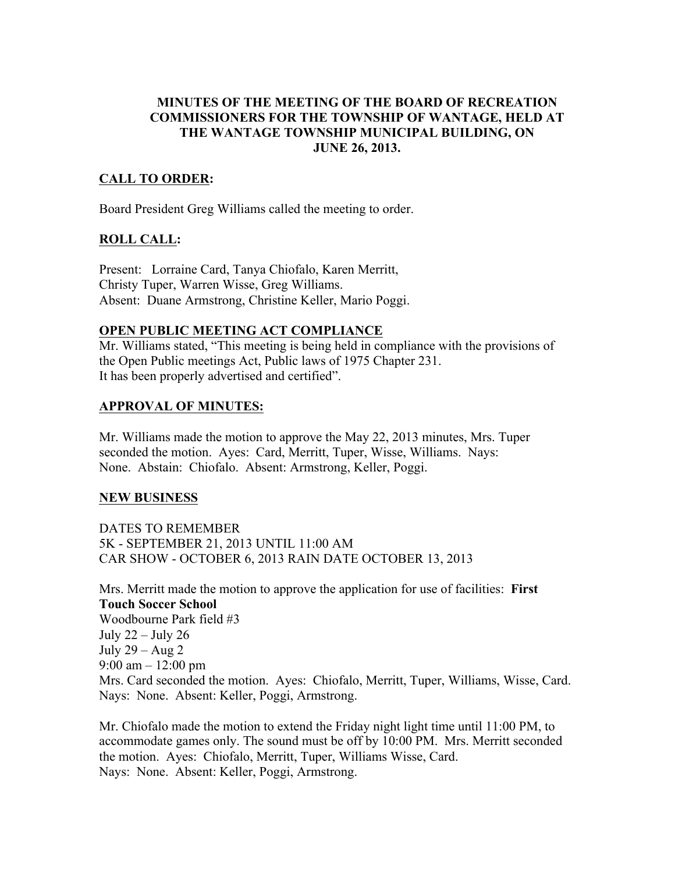### **MINUTES OF THE MEETING OF THE BOARD OF RECREATION COMMISSIONERS FOR THE TOWNSHIP OF WANTAGE, HELD AT THE WANTAGE TOWNSHIP MUNICIPAL BUILDING, ON JUNE 26, 2013.**

# **CALL TO ORDER:**

Board President Greg Williams called the meeting to order.

### **ROLL CALL:**

Present: Lorraine Card, Tanya Chiofalo, Karen Merritt, Christy Tuper, Warren Wisse, Greg Williams. Absent: Duane Armstrong, Christine Keller, Mario Poggi.

#### **OPEN PUBLIC MEETING ACT COMPLIANCE**

Mr. Williams stated, "This meeting is being held in compliance with the provisions of the Open Public meetings Act, Public laws of 1975 Chapter 231. It has been properly advertised and certified".

### **APPROVAL OF MINUTES:**

Mr. Williams made the motion to approve the May 22, 2013 minutes, Mrs. Tuper seconded the motion. Ayes: Card, Merritt, Tuper, Wisse, Williams. Nays: None. Abstain: Chiofalo. Absent: Armstrong, Keller, Poggi.

#### **NEW BUSINESS**

DATES TO REMEMBER 5K - SEPTEMBER 21, 2013 UNTIL 11:00 AM CAR SHOW - OCTOBER 6, 2013 RAIN DATE OCTOBER 13, 2013

Mrs. Merritt made the motion to approve the application for use of facilities: **First Touch Soccer School** Woodbourne Park field #3 July 22 – July 26 July  $29 - Aug 2$ 9:00 am  $-12:00$  pm Mrs. Card seconded the motion. Ayes: Chiofalo, Merritt, Tuper, Williams, Wisse, Card. Nays: None. Absent: Keller, Poggi, Armstrong.

Mr. Chiofalo made the motion to extend the Friday night light time until 11:00 PM, to accommodate games only. The sound must be off by 10:00 PM. Mrs. Merritt seconded the motion. Ayes: Chiofalo, Merritt, Tuper, Williams Wisse, Card. Nays: None. Absent: Keller, Poggi, Armstrong.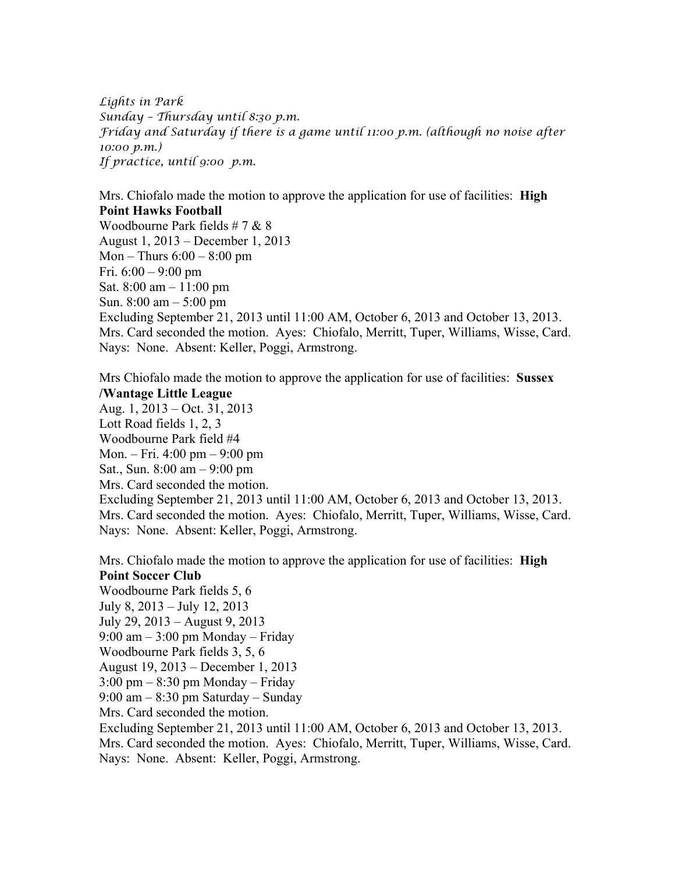*Lights in Park Sunday – Thursday until 8:30 p.m. Friday and Saturday if there is a game until 11:00 p.m. (although no noise after 10:00 p.m.) If practice, until 9:00 p.m.*

Mrs. Chiofalo made the motion to approve the application for use of facilities: **High Point Hawks Football**

Woodbourne Park fields # 7 & 8 August 1, 2013 – December 1, 2013 Mon – Thurs  $6:00 - 8:00$  pm Fri.  $6:00 - 9:00$  pm Sat. 8:00 am – 11:00 pm Sun. 8:00 am – 5:00 pm Excluding September 21, 2013 until 11:00 AM, October 6, 2013 and October 13, 2013. Mrs. Card seconded the motion. Ayes: Chiofalo, Merritt, Tuper, Williams, Wisse, Card. Nays: None. Absent: Keller, Poggi, Armstrong.

Mrs Chiofalo made the motion to approve the application for use of facilities: **Sussex /Wantage Little League**

Aug. 1, 2013 – Oct. 31, 2013 Lott Road fields 1, 2, 3 Woodbourne Park field #4 Mon. – Fri. 4:00 pm – 9:00 pm Sat., Sun. 8:00 am – 9:00 pm Mrs. Card seconded the motion. Excluding September 21, 2013 until 11:00 AM, October 6, 2013 and October 13, 2013. Mrs. Card seconded the motion. Ayes: Chiofalo, Merritt, Tuper, Williams, Wisse, Card. Nays: None. Absent: Keller, Poggi, Armstrong.

Mrs. Chiofalo made the motion to approve the application for use of facilities: **High Point Soccer Club** Woodbourne Park fields 5, 6 July 8, 2013 – July 12, 2013 July 29, 2013 – August 9, 2013  $9:00 \text{ am} - 3:00 \text{ pm}$  Monday – Friday Woodbourne Park fields 3, 5, 6 August 19, 2013 – December 1, 2013 3:00 pm – 8:30 pm Monday – Friday 9:00 am – 8:30 pm Saturday – Sunday Mrs. Card seconded the motion. Excluding September 21, 2013 until 11:00 AM, October 6, 2013 and October 13, 2013. Mrs. Card seconded the motion. Ayes: Chiofalo, Merritt, Tuper, Williams, Wisse, Card. Nays: None. Absent: Keller, Poggi, Armstrong.